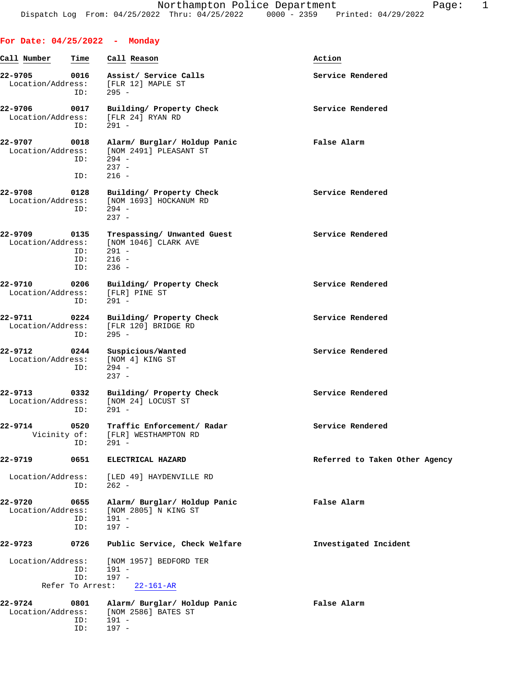ID: 197 -

| Call Number                  | Time                      | Call Reason                                                                           | Action                         |
|------------------------------|---------------------------|---------------------------------------------------------------------------------------|--------------------------------|
| 22-9705                      | 0016<br>ID:               | Assist/ Service Calls<br>Location/Address: [FLR 12] MAPLE ST<br>$295 -$               | Service Rendered               |
| 22-9706<br>Location/Address: | 0017<br>ID:               | Building/ Property Check<br>[FLR 24] RYAN RD<br>$291 -$                               | Service Rendered               |
| 22-9707<br>Location/Address: | 0018<br>ID:<br>ID:        | Alarm/ Burglar/ Holdup Panic<br>[NOM 2491] PLEASANT ST<br>294 -<br>$237 -$<br>$216 -$ | False Alarm                    |
| 22-9708<br>Location/Address: | 0128<br>ID:               | Building/ Property Check<br>[NOM 1693] HOCKANUM RD<br>294 -<br>$237 -$                | Service Rendered               |
| 22-9709<br>Location/Address: | 0135<br>ID:<br>ID:<br>ID: | Trespassing/ Unwanted Guest<br>[NOM 1046] CLARK AVE<br>$291 -$<br>$216 -$<br>$236 -$  | Service Rendered               |
| 22-9710<br>Location/Address: | 0206<br>ID:               | Building/ Property Check<br>[FLR] PINE ST<br>291 -                                    | Service Rendered               |
| 22-9711<br>Location/Address: | 0224<br>ID:               | Building/ Property Check<br>[FLR 120] BRIDGE RD<br>$295 -$                            | Service Rendered               |
| 22-9712<br>Location/Address: | 0244<br>ID:               | Suspicious/Wanted<br>[NOM 4] KING ST<br>$294 -$<br>$237 -$                            | Service Rendered               |
| 22-9713<br>Location/Address: | 0332<br>ID:               | Building/ Property Check<br>[NOM 24] LOCUST ST<br>$291 -$                             | Service Rendered               |
| 22-9714<br>Vicinity of:      | 0520<br>ID:               | Traffic Enforcement/ Radar<br>[FLR] WESTHAMPTON RD<br>$291 -$                         | Service Rendered               |
| 22-9719                      | 0651                      | ELECTRICAL HAZARD                                                                     | Referred to Taken Other Agency |
| Location/Address:            | ID:                       | [LED 49] HAYDENVILLE RD<br>$262 -$                                                    |                                |
| 22-9720<br>Location/Address: | 0655<br>ID:<br>ID:        | Alarm/ Burglar/ Holdup Panic<br>[NOM 2805] N KING ST<br>$191 -$<br>$197 -$            | False Alarm                    |
| 22-9723                      | 0726                      | Public Service, Check Welfare                                                         | Investigated Incident          |
| Location/Address:            | ID:<br>ID:                | [NOM 1957] BEDFORD TER<br>$191 -$<br>$197 -$                                          |                                |
|                              | Refer To Arrest:          | $22 - 161 - AR$                                                                       |                                |
| 22-9724<br>Location/Address: | 0801<br>ID:               | Alarm/ Burglar/ Holdup Panic<br>[NOM 2586] BATES ST<br>$191 -$                        | False Alarm                    |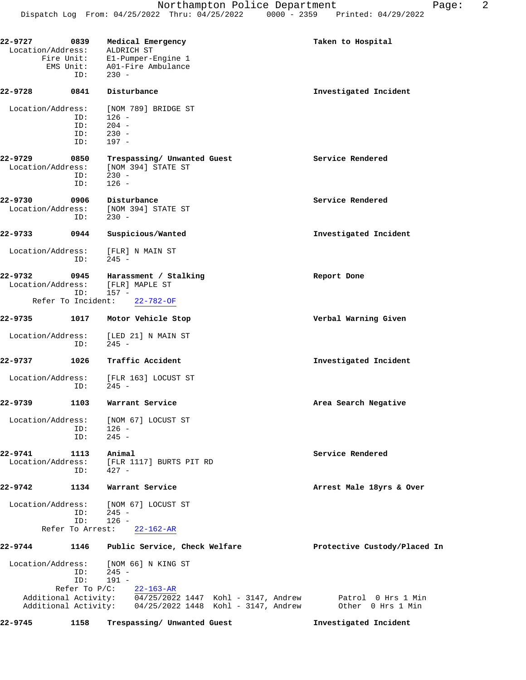| 22-9727<br>0839<br>Location/Address: | EMS Unit:<br>ID:               | Medical Emergency<br>ALDRICH ST<br>Fire Unit: E1-Pumper-Engine 1<br>A01-Fire Ambulance<br>$230 -$                    | Taken to Hospital                       |
|--------------------------------------|--------------------------------|----------------------------------------------------------------------------------------------------------------------|-----------------------------------------|
| 22-9728                              | 0841                           | Disturbance                                                                                                          | Investigated Incident                   |
| Location/Address:                    | ID:<br>ID:<br>ID:<br>ID:       | [NOM 789] BRIDGE ST<br>$126 -$<br>$204 -$<br>$230 -$<br>197 -                                                        |                                         |
| 22-9729<br>Location/Address:         | 0850<br>ID:<br>ID:             | Trespassing/ Unwanted Guest<br>[NOM 394] STATE ST<br>$230 -$<br>$126 -$                                              | Service Rendered                        |
| 22-9730<br>Location/Address:         | 0906<br>ID:                    | Disturbance<br>[NOM 394] STATE ST<br>$230 -$                                                                         | Service Rendered                        |
| 22-9733                              | 0944                           | Suspicious/Wanted                                                                                                    | Investigated Incident                   |
| Location/Address:                    | ID:                            | [FLR] N MAIN ST<br>$245 -$                                                                                           |                                         |
| 22-9732<br>Location/Address:         | 0945<br>ID:                    | Harassment / Stalking<br>[FLR] MAPLE ST<br>157 -                                                                     | Report Done                             |
| Refer To Incident:                   |                                | $22 - 782 - OF$                                                                                                      |                                         |
| 22-9735                              | 1017                           | Motor Vehicle Stop                                                                                                   | Verbal Warning Given                    |
| Location/Address:                    | ID:                            | [LED 21] N MAIN ST<br>$245 -$                                                                                        |                                         |
| 22-9737                              | 1026                           | Traffic Accident                                                                                                     | Investigated Incident                   |
| Location/Address:                    | ID:                            | [FLR 163] LOCUST ST<br>$245 -$                                                                                       |                                         |
| 22-9739                              | 1103                           | Warrant Service                                                                                                      | Area Search Negative                    |
| Location/Address:                    | ID:<br>ID:                     | [NOM 67] LOCUST ST<br>$126 -$<br>$245 -$                                                                             |                                         |
| 22-9741<br>Location/Address:         | 1113<br>ID:                    | Animal<br>[FLR 1117] BURTS PIT RD<br>$427 -$                                                                         | Service Rendered                        |
| 22-9742                              | 1134                           | Warrant Service                                                                                                      | Arrest Male 18yrs & Over                |
| Location/Address:                    | ID:<br>ID:<br>Refer To Arrest: | [NOM 67] LOCUST ST<br>$245 -$<br>$126 -$<br>$22 - 162 - AR$                                                          |                                         |
| 22-9744                              | 1146                           | Public Service, Check Welfare                                                                                        | Protective Custody/Placed In            |
| Location/Address:                    | ID:<br>ID:<br>Refer To $P/C$ : | [NOM 66] N KING ST<br>$245 -$<br>$191 -$<br>$22 - 163 - AR$                                                          |                                         |
|                                      |                                | Additional Activity: 04/25/2022 1447 Kohl - 3147, Andrew<br>Additional Activity: 04/25/2022 1448 Kohl - 3147, Andrew | Patrol 0 Hrs 1 Min<br>Other 0 Hrs 1 Min |
| 22-9745                              | 1158                           | Trespassing/ Unwanted Guest                                                                                          | Investigated Incident                   |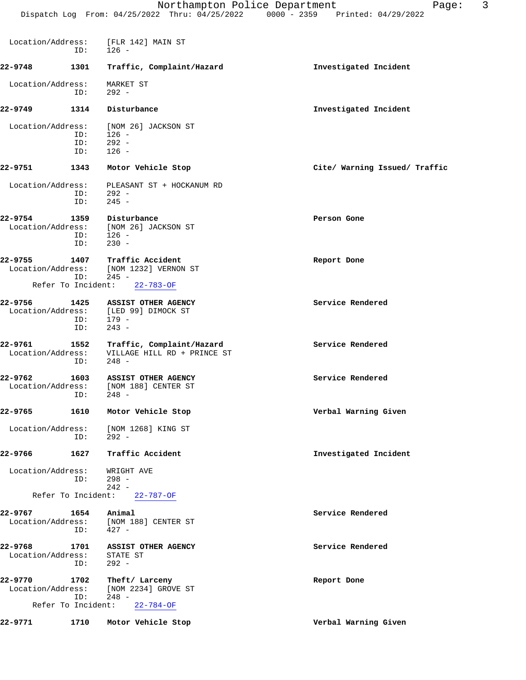| Location/Address:            | ID:                       | [FLR 142] MAIN ST<br>$126 -$                                                                  |                               |
|------------------------------|---------------------------|-----------------------------------------------------------------------------------------------|-------------------------------|
| 22-9748                      | 1301                      | Traffic, Complaint/Hazard                                                                     | Investigated Incident         |
| Location/Address:            | ID:                       | MARKET ST<br>$292 -$                                                                          |                               |
| 22-9749                      | 1314                      | Disturbance                                                                                   | Investigated Incident         |
| Location/Address:            | ID:<br>ID:<br>ID:         | [NOM 26] JACKSON ST<br>$126 -$<br>$292 -$<br>$126 -$                                          |                               |
| 22-9751                      | 1343                      | Motor Vehicle Stop                                                                            | Cite/ Warning Issued/ Traffic |
| Location/Address:            | ID:<br>ID:                | PLEASANT ST + HOCKANUM RD<br>292 -<br>$245 -$                                                 |                               |
| 22-9754<br>Location/Address: | 1359<br>ID:<br>ID:        | Disturbance<br>[NOM 26] JACKSON ST<br>$126 -$<br>$230 -$                                      | Person Gone                   |
| 22-9755                      | ID:<br>Refer To Incident: | 1407 Traffic Accident<br>Location/Address: [NOM 1232] VERNON ST<br>$245 -$<br>$22 - 783 - OF$ | Report Done                   |
|                              |                           |                                                                                               |                               |
| 22-9756                      | ID:<br>ID:                | 1425 ASSIST OTHER AGENCY<br>Location/Address: [LED 99] DIMOCK ST<br>$179 -$<br>$243 -$        | Service Rendered              |
| 22-9761<br>Location/Address: | ID:                       | 1552 Traffic, Complaint/Hazard<br>VILLAGE HILL RD + PRINCE ST<br>$248 -$                      | Service Rendered              |
| 22-9762                      | 1603<br>ID:               | <b>ASSIST OTHER AGENCY</b><br>Location/Address: [NOM 188] CENTER ST<br>$248 -$                | Service Rendered              |
| 22-9765                      | 1610                      | Motor Vehicle Stop                                                                            | Verbal Warning Given          |
| Location/Address:            | ID:                       | [NOM 1268] KING ST<br>$292 -$                                                                 |                               |
| 22-9766                      | 1627                      | Traffic Accident                                                                              | Investigated Incident         |
| Location/Address:            | ID:                       | WRIGHT AVE<br>$298 -$<br>$242 -$                                                              |                               |
|                              | Refer To Incident:        | $22 - 787 - OF$                                                                               |                               |
| 22-9767<br>Location/Address: | 1654<br>ID:               | Animal<br>[NOM 188] CENTER ST<br>$427 -$                                                      | Service Rendered              |
| 22-9768<br>Location/Address: | 1701<br>ID:               | <b>ASSIST OTHER AGENCY</b><br>STATE ST<br>$292 -$                                             | Service Rendered              |
| 22-9770<br>Location/Address: | 1702<br>ID:               | Theft/ Larceny<br>[NOM 2234] GROVE ST<br>$248 -$                                              | Report Done                   |
|                              | Refer To Incident:        | $22 - 784 - OF$                                                                               |                               |
| 22-9771                      | 1710                      | Motor Vehicle Stop                                                                            | Verbal Warning Given          |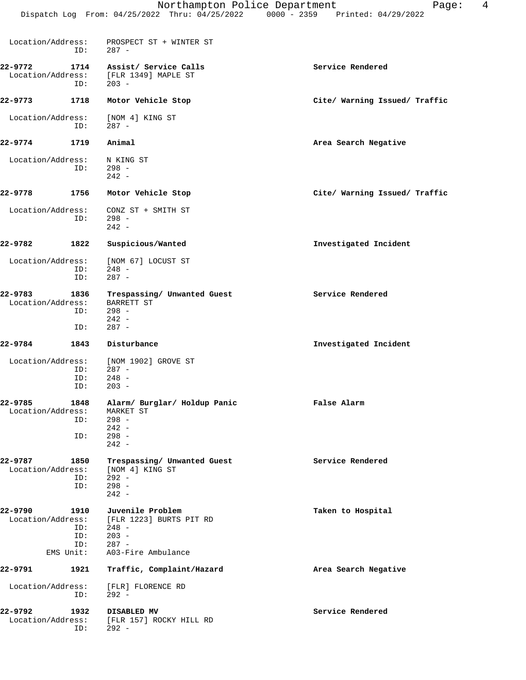|                                               | Dispatch Log From: $04/25/2022$ Thru: $04/25/2022$                  | $0000 - 2359$ | Printed: 04/29/2022 |
|-----------------------------------------------|---------------------------------------------------------------------|---------------|---------------------|
| Location/Address:<br>ID:                      | PROSPECT ST + WINTER ST<br>$287 -$                                  |               |                     |
| 22-9772<br>1714<br>Location/Address:<br>$  -$ | Assist/ Service Calls<br>FLR 1349] MAPLE ST<br>$\sim$ $\sim$ $\sim$ |               | Service Rendered    |

**22-9773 1718 Motor Vehicle Stop Cite/ Warning Issued/ Traffic** Location/Address: [NOM 4] KING ST ID: 287 -

**22-9774 1719 Animal Area Search Negative** Location/Address: N KING ST<br>ID: 298 -ID:  $242 -$ **22-9778 1756 Motor Vehicle Stop Cite/ Warning Issued/ Traffic**

- Location/Address: CONZ ST + SMITH ST ID: 298 -  $242 -$ **22-9782 1822 Suspicious/Wanted Investigated Incident**
- Location/Address: [NOM 67] LOCUST ST ID: 248 -<br>ID: 287 - $287 -$

ID: 203 -

- **22-9783** 1836 Trespassing/ Unwanted Guest Service Rendered Location/Address: BARRETT ST Location/Address: ID: 298 - 242 - ID: 287 -
- **22-9784 1843 Disturbance Investigated Incident** Location/Address: [NOM 1902] GROVE ST ID: 287 - ID: 248 -<br>ID: 203 - ID: 203 - **22-9785 1848 Alarm/ Burglar/ Holdup Panic False Alarm** Location/Address:<br>ID: 298 - 242 -  $ID:$ 242 -
- **22-9787 1850 Trespassing/ Unwanted Guest Service Rendered** Location/Address: [NOM 4] KING ST ID: 292 - ID: 298 -  $242 -$
- **22-9790 1910 Juvenile Problem Taken to Hospital** Construction (Address: [FLR 1223] BURTS PIT RD ess: [FLR 1223] BURTS PIT RD<br>ID: 248 –  $248 -$ <br>203 - ID: 203 - ID: 287 - EMS Unit: A03-Fire Ambulance **22-9791 1921 Traffic, Complaint/Hazard Area Search Negative** Location/Address: [FLR] FLORENCE RD ID: 292 -
- **22-9792 1932 DISABLED MV Service Rendered** Location/Address: [FLR 157] ROCKY HILL RD ID: 292 -